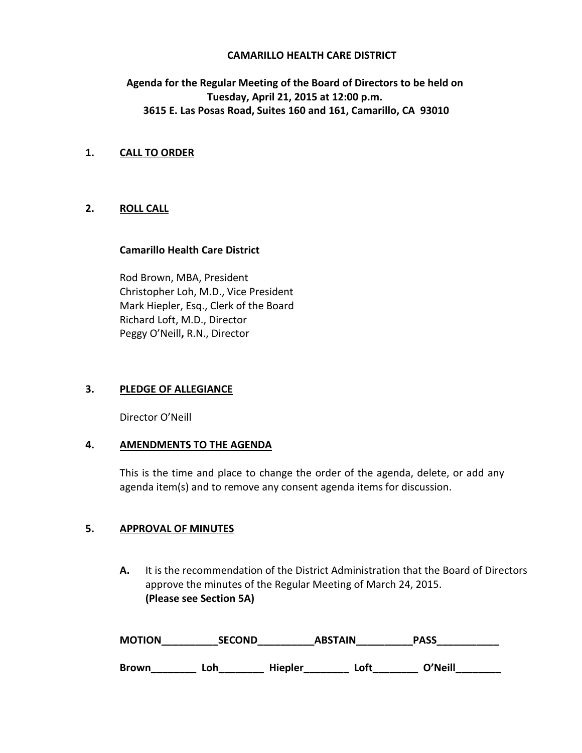#### **CAMARILLO HEALTH CARE DISTRICT**

# **Agenda for the Regular Meeting of the Board of Directors to be held on Tuesday, April 21, 2015 at 12:00 p.m. 3615 E. Las Posas Road, Suites 160 and 161, Camarillo, CA 93010**

### **1. CALL TO ORDER**

### **2. ROLL CALL**

#### **Camarillo Health Care District**

Rod Brown, MBA, President Christopher Loh, M.D., Vice President Mark Hiepler, Esq., Clerk of the Board Richard Loft, M.D., Director Peggy O'Neill**,** R.N., Director

### **3. PLEDGE OF ALLEGIANCE**

Director O'Neill

### **4. AMENDMENTS TO THE AGENDA**

This is the time and place to change the order of the agenda, delete, or add any agenda item(s) and to remove any consent agenda items for discussion.

### **5. APPROVAL OF MINUTES**

**A.** It is the recommendation of the District Administration that the Board of Directors approve the minutes of the Regular Meeting of March 24, 2015. **(Please see Section 5A)** 

| <b>MOTION</b> | <b>SECOND</b> | <b>ABSTAIN</b> |      | <b>PASS</b> |
|---------------|---------------|----------------|------|-------------|
| <b>Brown</b>  | Loh           | <b>Hiepler</b> | ∟oft | O'Neill     |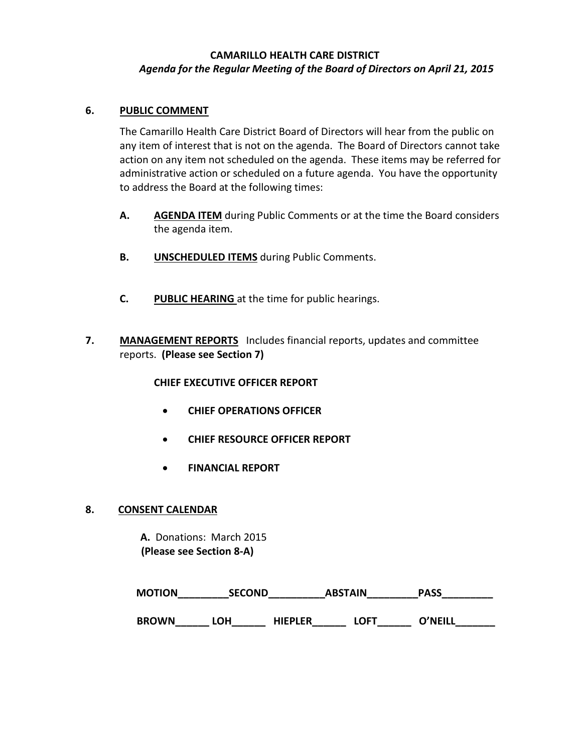# **CAMARILLO HEALTH CARE DISTRICT** *Agenda for the Regular Meeting of the Board of Directors on April 21, 2015*

### **6. PUBLIC COMMENT**

The Camarillo Health Care District Board of Directors will hear from the public on any item of interest that is not on the agenda. The Board of Directors cannot take action on any item not scheduled on the agenda. These items may be referred for administrative action or scheduled on a future agenda. You have the opportunity to address the Board at the following times:

- **A. AGENDA ITEM** during Public Comments or at the time the Board considers the agenda item.
- **B. UNSCHEDULED ITEMS** during Public Comments.
- **C. PUBLIC HEARING** at the time for public hearings.
- **7. MANAGEMENT REPORTS** Includes financial reports, updates and committee reports. **(Please see Section 7)**

### **CHIEF EXECUTIVE OFFICER REPORT**

- **CHIEF OPERATIONS OFFICER**
- **CHIEF RESOURCE OFFICER REPORT**
- **FINANCIAL REPORT**

### **8. CONSENT CALENDAR**

 **A.** Donations: March 2015  **(Please see Section 8-A)** 

| <b>MOTION</b> | <b>SECOND</b> |         | <b>ABSTAIN</b> | <b>PASS</b>    |  |
|---------------|---------------|---------|----------------|----------------|--|
| <b>BROWN</b>  | LOH           | HIEPLER | <b>OFT</b>     | <b>O'NEILL</b> |  |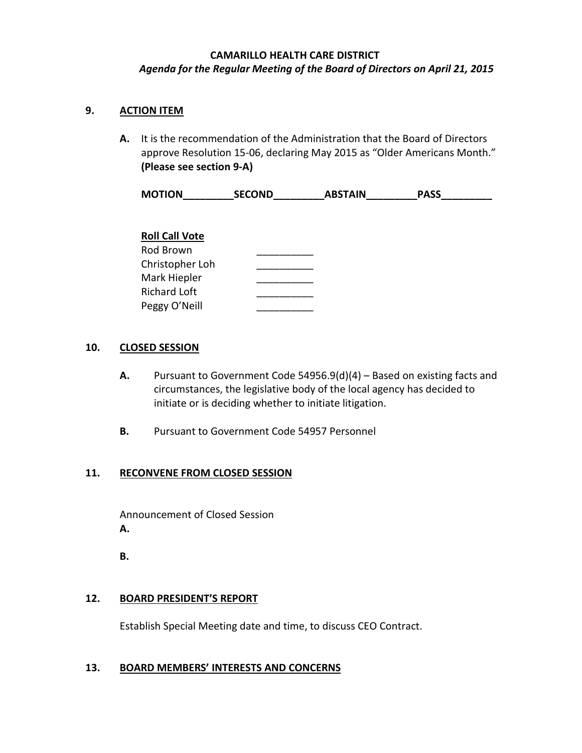# **CAMARILLO HEALTH CARE DISTRICT** *Agenda for the Regular Meeting of the Board of Directors on April 21, 2015*

## **9. ACTION ITEM**

**A.** It is the recommendation of the Administration that the Board of Directors approve Resolution 15-06, declaring May 2015 as "Older Americans Month." **(Please see section 9-A)**

| <b>MOTION</b>         | <b>SECOND</b> | <b>ABSTAIN</b> | <b>PASS</b> |  |
|-----------------------|---------------|----------------|-------------|--|
|                       |               |                |             |  |
| <b>Roll Call Vote</b> |               |                |             |  |
| Rod Brown             |               |                |             |  |
| Christopher Loh       |               |                |             |  |
| Mark Hiepler          |               |                |             |  |
| <b>Richard Loft</b>   |               |                |             |  |
| Peggy O'Neill         |               |                |             |  |

## **10. CLOSED SESSION**

- **A.** Pursuant to Government Code 54956.9(d)(4) Based on existing facts and circumstances, the legislative body of the local agency has decided to initiate or is deciding whether to initiate litigation.
- **B.** Pursuant to Government Code 54957 Personnel

## **11. RECONVENE FROM CLOSED SESSION**

Announcement of Closed Session  **A.**

 **B.** 

### **12. BOARD PRESIDENT'S REPORT**

Establish Special Meeting date and time, to discuss CEO Contract.

### **13. BOARD MEMBERS' INTERESTS AND CONCERNS**